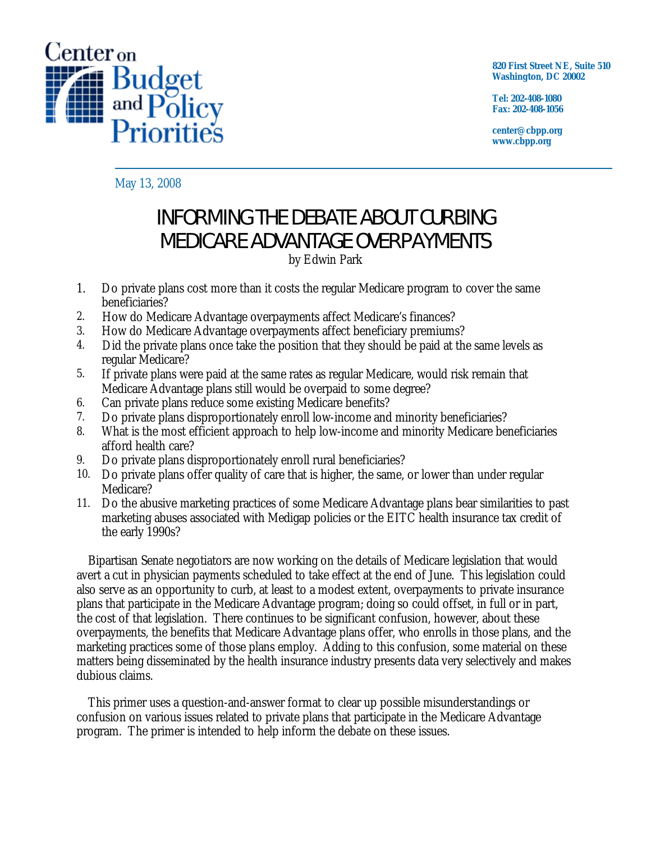

**820 First Street NE, Suite 510 Washington, DC 20002** 

**Tel: 202-408-1080 Fax: 202-408-1056** 

**center@cbpp.org www.cbpp.org** 

May 13, 2008

# INFORMING THE DEBATE ABOUT CURBING MEDICARE ADVANTAGE OVERPAYMENTS

by Edwin Park

- 1. Do private plans cost more than it costs the regular Medicare program to cover the same beneficiaries?
- 2. How do Medicare Advantage overpayments affect Medicare's finances?
- 3. How do Medicare Advantage overpayments affect beneficiary premiums?
- 4. Did the private plans once take the position that they should be paid at the same levels as regular Medicare?
- 5. If private plans were paid at the same rates as regular Medicare, would risk remain that Medicare Advantage plans still would be overpaid to some degree?
- 6. Can private plans reduce some existing Medicare benefits?
- 7. Do private plans disproportionately enroll low-income and minority beneficiaries?
- 8. What is the most efficient approach to help low-income and minority Medicare beneficiaries afford health care?
- 9. Do private plans disproportionately enroll rural beneficiaries?
- 10. Do private plans offer quality of care that is higher, the same, or lower than under regular Medicare?
- 11. Do the abusive marketing practices of some Medicare Advantage plans bear similarities to past marketing abuses associated with Medigap policies or the EITC health insurance tax credit of the early 1990s?

Bipartisan Senate negotiators are now working on the details of Medicare legislation that would avert a cut in physician payments scheduled to take effect at the end of June. This legislation could also serve as an opportunity to curb, at least to a modest extent, overpayments to private insurance plans that participate in the Medicare Advantage program; doing so could offset, in full or in part, the cost of that legislation. There continues to be significant confusion, however, about these overpayments, the benefits that Medicare Advantage plans offer, who enrolls in those plans, and the marketing practices some of those plans employ. Adding to this confusion, some material on these matters being disseminated by the health insurance industry presents data very selectively and makes dubious claims.

This primer uses a question-and-answer format to clear up possible misunderstandings or confusion on various issues related to private plans that participate in the Medicare Advantage program. The primer is intended to help inform the debate on these issues.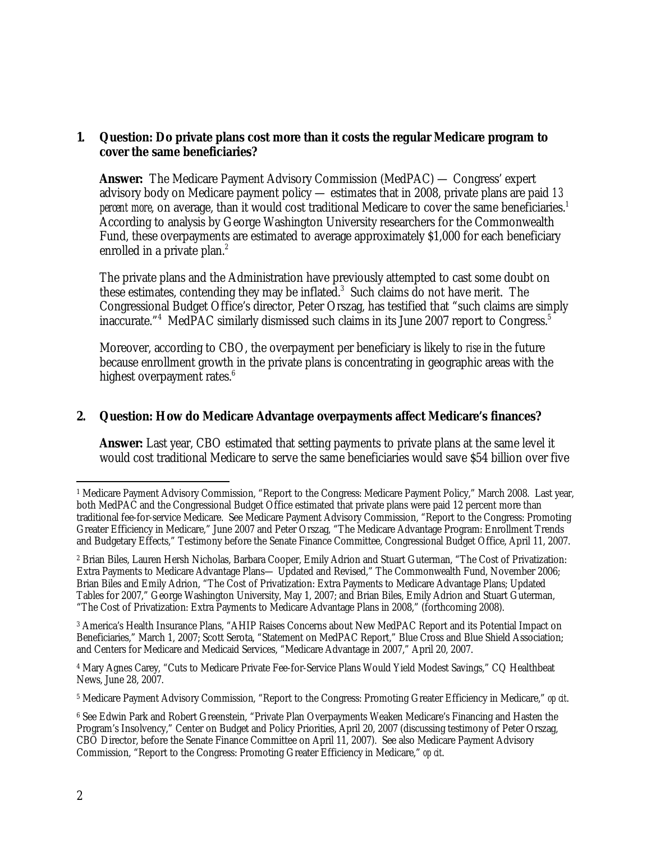#### **1. Question: Do private plans cost more than it costs the regular Medicare program to cover the same beneficiaries?**

**Answer:** The Medicare Payment Advisory Commission (MedPAC) — Congress' expert advisory body on Medicare payment policy — estimates that in 2008, private plans are paid *13*  percent more, on average, than it would cost traditional Medicare to cover the same beneficiaries.<sup>1</sup> According to analysis by George Washington University researchers for the Commonwealth Fund, these overpayments are estimated to average approximately \$1,000 for each beneficiary enrolled in a private plan.<sup>2</sup>

The private plans and the Administration have previously attempted to cast some doubt on these estimates, contending they may be inflated.<sup>3</sup> Such claims do not have merit. The Congressional Budget Office's director, Peter Orszag, has testified that "such claims are simply inaccurate."<sup>4</sup> MedPAC similarly dismissed such claims in its June 2007 report to Congress.<sup>5</sup>

Moreover, according to CBO, the overpayment per beneficiary is likely to *rise* in the future because enrollment growth in the private plans is concentrating in geographic areas with the highest overpayment rates.<sup>6</sup>

#### **2. Question: How do Medicare Advantage overpayments affect Medicare's finances?**

**Answer:** Last year, CBO estimated that setting payments to private plans at the same level it would cost traditional Medicare to serve the same beneficiaries would save \$54 billion over five

3 America's Health Insurance Plans, "AHIP Raises Concerns about New MedPAC Report and its Potential Impact on Beneficiaries," March 1, 2007; Scott Serota, "Statement on MedPAC Report," Blue Cross and Blue Shield Association; and Centers for Medicare and Medicaid Services, "Medicare Advantage in 2007," April 20, 2007.

4 Mary Agnes Carey, "Cuts to Medicare Private Fee-for-Service Plans Would Yield Modest Savings," CQ Healthbeat News, June 28, 2007.

5 Medicare Payment Advisory Commission, "Report to the Congress: Promoting Greater Efficiency in Medicare," *op cit*.

 $\overline{a}$ 1 Medicare Payment Advisory Commission, "Report to the Congress: Medicare Payment Policy," March 2008. Last year, both MedPAC and the Congressional Budget Office estimated that private plans were paid 12 percent more than traditional fee-for-service Medicare. See Medicare Payment Advisory Commission, "Report to the Congress: Promoting Greater Efficiency in Medicare," June 2007 and Peter Orszag, "The Medicare Advantage Program: Enrollment Trends and Budgetary Effects," Testimony before the Senate Finance Committee, Congressional Budget Office, April 11, 2007.

<sup>2</sup> Brian Biles, Lauren Hersh Nicholas, Barbara Cooper, Emily Adrion and Stuart Guterman, "The Cost of Privatization: Extra Payments to Medicare Advantage Plans— Updated and Revised," The Commonwealth Fund, November 2006; Brian Biles and Emily Adrion, "The Cost of Privatization: Extra Payments to Medicare Advantage Plans; Updated Tables for 2007," George Washington University, May 1, 2007; and Brian Biles, Emily Adrion and Stuart Guterman, "The Cost of Privatization: Extra Payments to Medicare Advantage Plans in 2008," (forthcoming 2008).

<sup>6</sup> See Edwin Park and Robert Greenstein, "Private Plan Overpayments Weaken Medicare's Financing and Hasten the Program's Insolvency," Center on Budget and Policy Priorities, April 20, 2007 (discussing testimony of Peter Orszag, CBO Director, before the Senate Finance Committee on April 11, 2007). See also Medicare Payment Advisory Commission, "Report to the Congress: Promoting Greater Efficiency in Medicare," *op cit*.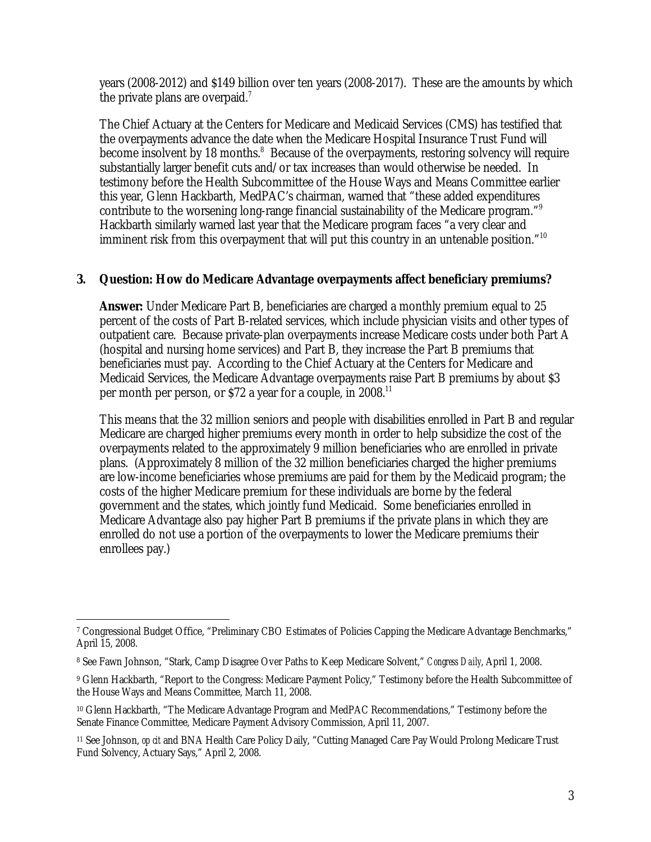years (2008-2012) and \$149 billion over ten years (2008-2017). These are the amounts by which the private plans are overpaid.<sup>7</sup>

The Chief Actuary at the Centers for Medicare and Medicaid Services (CMS) has testified that the overpayments advance the date when the Medicare Hospital Insurance Trust Fund will become insolvent by 18 months.<sup>8</sup> Because of the overpayments, restoring solvency will require substantially larger benefit cuts and/or tax increases than would otherwise be needed. In testimony before the Health Subcommittee of the House Ways and Means Committee earlier this year, Glenn Hackbarth, MedPAC's chairman, warned that "these added expenditures contribute to the worsening long-range financial sustainability of the Medicare program."9 Hackbarth similarly warned last year that the Medicare program faces "a very clear and imminent risk from this overpayment that will put this country in an untenable position."<sup>10</sup>

## **3. Question: How do Medicare Advantage overpayments affect beneficiary premiums?**

**Answer:** Under Medicare Part B, beneficiaries are charged a monthly premium equal to 25 percent of the costs of Part B-related services, which include physician visits and other types of outpatient care. Because private-plan overpayments increase Medicare costs under both Part A (hospital and nursing home services) and Part B, they increase the Part B premiums that beneficiaries must pay. According to the Chief Actuary at the Centers for Medicare and Medicaid Services, the Medicare Advantage overpayments raise Part B premiums by about \$3 per month per person, or  $$72$  a year for a couple, in 2008.<sup>11</sup>

This means that the 32 million seniors and people with disabilities enrolled in Part B and regular Medicare are charged higher premiums every month in order to help subsidize the cost of the overpayments related to the approximately 9 million beneficiaries who are enrolled in private plans. (Approximately 8 million of the 32 million beneficiaries charged the higher premiums are low-income beneficiaries whose premiums are paid for them by the Medicaid program; the costs of the higher Medicare premium for these individuals are borne by the federal government and the states, which jointly fund Medicaid. Some beneficiaries enrolled in Medicare Advantage also pay higher Part B premiums if the private plans in which they are enrolled do not use a portion of the overpayments to lower the Medicare premiums their enrollees pay.)

 $\overline{a}$ 7 Congressional Budget Office, "Preliminary CBO Estimates of Policies Capping the Medicare Advantage Benchmarks," April 15, 2008.

<sup>8</sup> See Fawn Johnson, "Stark, Camp Disagree Over Paths to Keep Medicare Solvent," *Congress Daily*, April 1, 2008.

<sup>&</sup>lt;sup>9</sup> Glenn Hackbarth, "Report to the Congress: Medicare Payment Policy," Testimony before the Health Subcommittee of the House Ways and Means Committee, March 11, 2008.

<sup>10</sup> Glenn Hackbarth, "The Medicare Advantage Program and MedPAC Recommendations," Testimony before the Senate Finance Committee, Medicare Payment Advisory Commission, April 11, 2007.

<sup>11</sup> See Johnson, *op cit* and BNA Health Care Policy Daily, "Cutting Managed Care Pay Would Prolong Medicare Trust Fund Solvency, Actuary Says," April 2, 2008.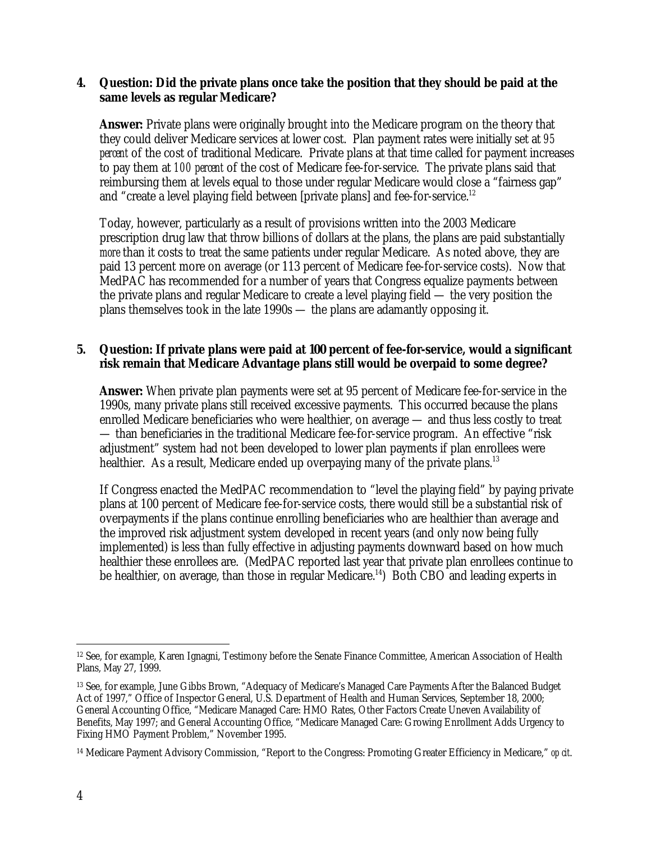#### **4. Question: Did the private plans once take the position that they should be paid at the same levels as regular Medicare?**

**Answer:** Private plans were originally brought into the Medicare program on the theory that they could deliver Medicare services at lower cost. Plan payment rates were initially set at *95 percent* of the cost of traditional Medicare. Private plans at that time called for payment increases to pay them at *100 percent* of the cost of Medicare fee-for-service. The private plans said that reimbursing them at levels equal to those under regular Medicare would close a "fairness gap" and "create a level playing field between [private plans] and fee-for-service.<sup>12</sup>

Today, however, particularly as a result of provisions written into the 2003 Medicare prescription drug law that throw billions of dollars at the plans, the plans are paid substantially *more* than it costs to treat the same patients under regular Medicare. As noted above, they are paid 13 percent more on average (or 113 percent of Medicare fee-for-service costs). Now that MedPAC has recommended for a number of years that Congress equalize payments between the private plans and regular Medicare to create a level playing field — the very position the plans themselves took in the late 1990s — the plans are adamantly opposing it.

## **5. Question: If private plans were paid at 100 percent of fee-for-service, would a significant risk remain that Medicare Advantage plans still would be overpaid to some degree?**

**Answer:** When private plan payments were set at 95 percent of Medicare fee-for-service in the 1990s, many private plans still received excessive payments. This occurred because the plans enrolled Medicare beneficiaries who were healthier, on average — and thus less costly to treat — than beneficiaries in the traditional Medicare fee-for-service program. An effective "risk adjustment" system had not been developed to lower plan payments if plan enrollees were healthier. As a result, Medicare ended up overpaying many of the private plans.<sup>13</sup>

If Congress enacted the MedPAC recommendation to "level the playing field" by paying private plans at 100 percent of Medicare fee-for-service costs, there would still be a substantial risk of overpayments if the plans continue enrolling beneficiaries who are healthier than average and the improved risk adjustment system developed in recent years (and only now being fully implemented) is less than fully effective in adjusting payments downward based on how much healthier these enrollees are. (MedPAC reported last year that private plan enrollees continue to be healthier, on average, than those in regular Medicare.<sup>14</sup>) Both CBO and leading experts in

 $\overline{a}$ 12 See, for example, Karen Ignagni, Testimony before the Senate Finance Committee, American Association of Health Plans, May 27, 1999.

<sup>13</sup> See, for example, June Gibbs Brown, "Adequacy of Medicare's Managed Care Payments After the Balanced Budget Act of 1997," Office of Inspector General, U.S. Department of Health and Human Services, September 18, 2000; General Accounting Office, "Medicare Managed Care: HMO Rates, Other Factors Create Uneven Availability of Benefits, May 1997; and General Accounting Office, "Medicare Managed Care: Growing Enrollment Adds Urgency to Fixing HMO Payment Problem," November 1995.

<sup>14</sup> Medicare Payment Advisory Commission, "Report to the Congress: Promoting Greater Efficiency in Medicare," *op cit*.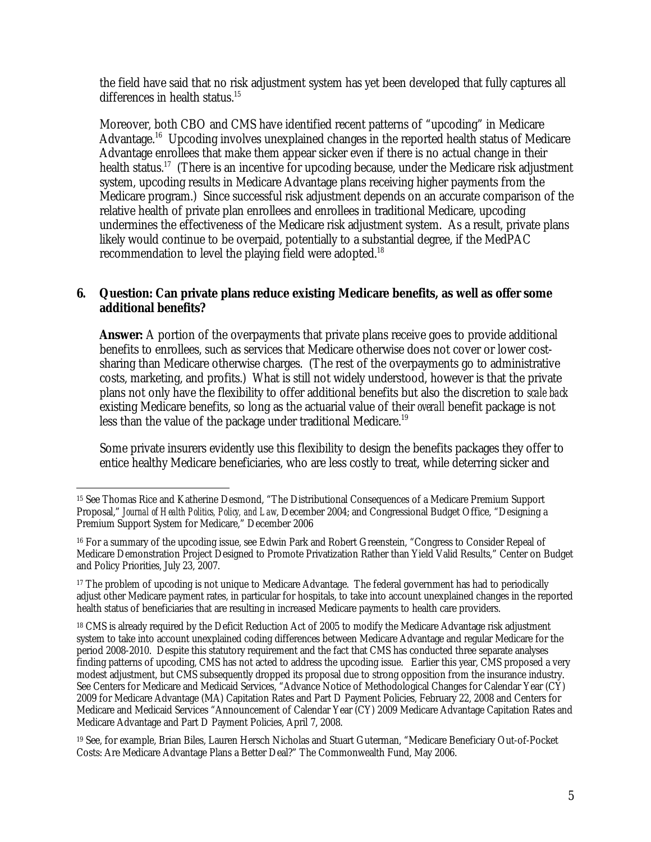the field have said that no risk adjustment system has yet been developed that fully captures all differences in health status.<sup>15</sup>

Moreover, both CBO and CMS have identified recent patterns of "upcoding" in Medicare Advantage.<sup>16</sup> Upcoding involves unexplained changes in the reported health status of Medicare Advantage enrollees that make them appear sicker even if there is no actual change in their health status.<sup>17</sup> (There is an incentive for upcoding because, under the Medicare risk adjustment system, upcoding results in Medicare Advantage plans receiving higher payments from the Medicare program.) Since successful risk adjustment depends on an accurate comparison of the relative health of private plan enrollees and enrollees in traditional Medicare, upcoding undermines the effectiveness of the Medicare risk adjustment system. As a result, private plans likely would continue to be overpaid, potentially to a substantial degree, if the MedPAC recommendation to level the playing field were adopted.<sup>18</sup>

## **6. Question: Can private plans reduce existing Medicare benefits, as well as offer some additional benefits?**

**Answer:** A portion of the overpayments that private plans receive goes to provide additional benefits to enrollees, such as services that Medicare otherwise does not cover or lower costsharing than Medicare otherwise charges. (The rest of the overpayments go to administrative costs, marketing, and profits.) What is still not widely understood, however is that the private plans not only have the flexibility to offer additional benefits but also the discretion to *scale back* existing Medicare benefits, so long as the actuarial value of their *overall* benefit package is not less than the value of the package under traditional Medicare.<sup>19</sup>

Some private insurers evidently use this flexibility to design the benefits packages they offer to entice healthy Medicare beneficiaries, who are less costly to treat, while deterring sicker and

 $\overline{a}$ 15 See Thomas Rice and Katherine Desmond, "The Distributional Consequences of a Medicare Premium Support Proposal," *Journal of Health Politics, Policy, and Law*, December 2004; and Congressional Budget Office, "Designing a Premium Support System for Medicare," December 2006

<sup>16</sup> For a summary of the upcoding issue, see Edwin Park and Robert Greenstein, "Congress to Consider Repeal of Medicare Demonstration Project Designed to Promote Privatization Rather than Yield Valid Results," Center on Budget and Policy Priorities, July 23, 2007.

<sup>&</sup>lt;sup>17</sup> The problem of upcoding is not unique to Medicare Advantage. The federal government has had to periodically adjust other Medicare payment rates, in particular for hospitals, to take into account unexplained changes in the reported health status of beneficiaries that are resulting in increased Medicare payments to health care providers.

<sup>&</sup>lt;sup>18</sup> CMS is already required by the Deficit Reduction Act of 2005 to modify the Medicare Advantage risk adjustment system to take into account unexplained coding differences between Medicare Advantage and regular Medicare for the period 2008-2010. Despite this statutory requirement and the fact that CMS has conducted three separate analyses finding patterns of upcoding, CMS has not acted to address the upcoding issue. Earlier this year, CMS proposed a very modest adjustment, but CMS subsequently dropped its proposal due to strong opposition from the insurance industry. See Centers for Medicare and Medicaid Services, "Advance Notice of Methodological Changes for Calendar Year (CY) 2009 for Medicare Advantage (MA) Capitation Rates and Part D Payment Policies, February 22, 2008 and Centers for Medicare and Medicaid Services "Announcement of Calendar Year (CY) 2009 Medicare Advantage Capitation Rates and Medicare Advantage and Part D Payment Policies, April 7, 2008.

<sup>19</sup> See, for example, Brian Biles, Lauren Hersch Nicholas and Stuart Guterman, "Medicare Beneficiary Out-of-Pocket Costs: Are Medicare Advantage Plans a Better Deal?" The Commonwealth Fund, May 2006.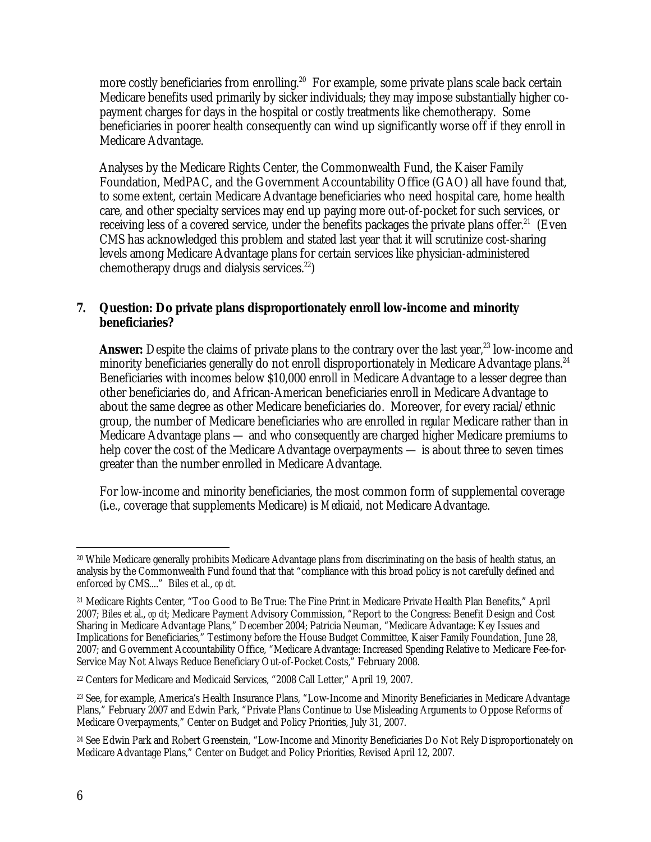more costly beneficiaries from enrolling.<sup>20</sup> For example, some private plans scale back certain Medicare benefits used primarily by sicker individuals; they may impose substantially higher copayment charges for days in the hospital or costly treatments like chemotherapy. Some beneficiaries in poorer health consequently can wind up significantly worse off if they enroll in Medicare Advantage.

Analyses by the Medicare Rights Center, the Commonwealth Fund, the Kaiser Family Foundation, MedPAC, and the Government Accountability Office (GAO) all have found that, to some extent, certain Medicare Advantage beneficiaries who need hospital care, home health care, and other specialty services may end up paying more out-of-pocket for such services, or receiving less of a covered service, under the benefits packages the private plans offer.<sup>21</sup> (Even CMS has acknowledged this problem and stated last year that it will scrutinize cost-sharing levels among Medicare Advantage plans for certain services like physician-administered chemotherapy drugs and dialysis services.<sup>22</sup>)

## **7. Question: Do private plans disproportionately enroll low-income and minority beneficiaries?**

**Answer:** Despite the claims of private plans to the contrary over the last year,<sup>23</sup> low-income and minority beneficiaries generally do not enroll disproportionately in Medicare Advantage plans.<sup>24</sup> Beneficiaries with incomes below \$10,000 enroll in Medicare Advantage to a lesser degree than other beneficiaries do, and African-American beneficiaries enroll in Medicare Advantage to about the same degree as other Medicare beneficiaries do. Moreover, for every racial/ethnic group, the number of Medicare beneficiaries who are enrolled in *regular* Medicare rather than in Medicare Advantage plans — and who consequently are charged higher Medicare premiums to help cover the cost of the Medicare Advantage overpayments — is about three to seven times greater than the number enrolled in Medicare Advantage.

For low-income and minority beneficiaries, the most common form of supplemental coverage (i**.**e., coverage that supplements Medicare) is *Medicaid*, not Medicare Advantage.

<sup>-</sup>20 While Medicare generally prohibits Medicare Advantage plans from discriminating on the basis of health status, an analysis by the Commonwealth Fund found that that "compliance with this broad policy is not carefully defined and enforced by CMS...." Biles et al., *op cit*.

<sup>21</sup> Medicare Rights Center, "Too Good to Be True: The Fine Print in Medicare Private Health Plan Benefits," April 2007; Biles et al., *op cit*; Medicare Payment Advisory Commission, "Report to the Congress: Benefit Design and Cost Sharing in Medicare Advantage Plans," December 2004; Patricia Neuman, "Medicare Advantage: Key Issues and Implications for Beneficiaries," Testimony before the House Budget Committee, Kaiser Family Foundation, June 28, 2007; and Government Accountability Office, "Medicare Advantage: Increased Spending Relative to Medicare Fee-for-Service May Not Always Reduce Beneficiary Out-of-Pocket Costs," February 2008.

<sup>22</sup> Centers for Medicare and Medicaid Services, "2008 Call Letter," April 19, 2007.

<sup>23</sup> See, for example, America's Health Insurance Plans, "Low-Income and Minority Beneficiaries in Medicare Advantage Plans," February 2007 and Edwin Park, "Private Plans Continue to Use Misleading Arguments to Oppose Reforms of Medicare Overpayments," Center on Budget and Policy Priorities, July 31, 2007.

<sup>&</sup>lt;sup>24</sup> See Edwin Park and Robert Greenstein, "Low-Income and Minority Beneficiaries Do Not Rely Disproportionately on Medicare Advantage Plans," Center on Budget and Policy Priorities, Revised April 12, 2007.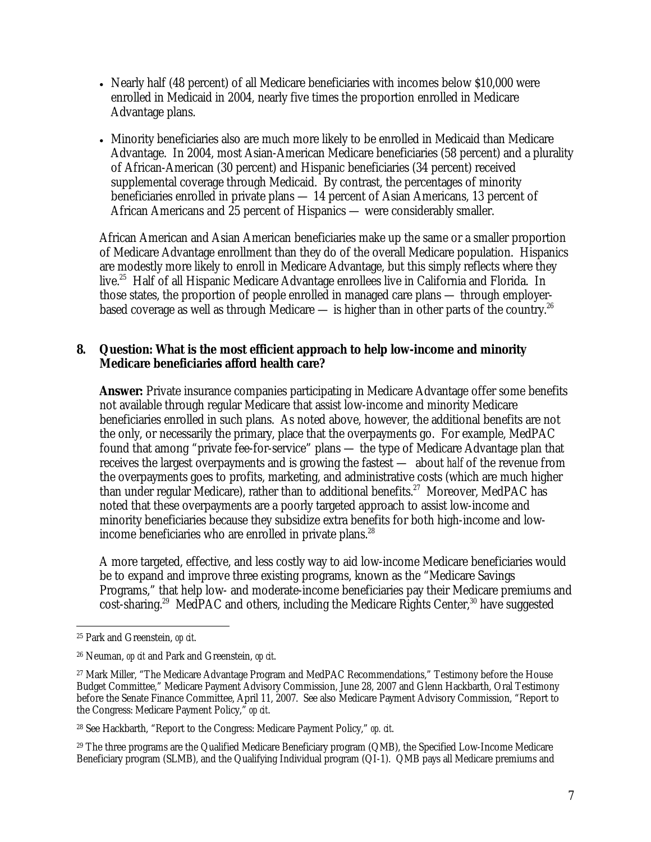- Nearly half (48 percent) of all Medicare beneficiaries with incomes below \$10,000 were enrolled in Medicaid in 2004, nearly five times the proportion enrolled in Medicare Advantage plans.
- Minority beneficiaries also are much more likely to be enrolled in Medicaid than Medicare Advantage. In 2004, most Asian-American Medicare beneficiaries (58 percent) and a plurality of African-American (30 percent) and Hispanic beneficiaries (34 percent) received supplemental coverage through Medicaid. By contrast, the percentages of minority beneficiaries enrolled in private plans — 14 percent of Asian Americans, 13 percent of African Americans and 25 percent of Hispanics — were considerably smaller.

African American and Asian American beneficiaries make up the same or a smaller proportion of Medicare Advantage enrollment than they do of the overall Medicare population. Hispanics are modestly more likely to enroll in Medicare Advantage, but this simply reflects where they live.<sup>25</sup> Half of all Hispanic Medicare Advantage enrollees live in California and Florida. In those states, the proportion of people enrolled in managed care plans — through employerbased coverage as well as through Medicare — is higher than in other parts of the country.<sup>26</sup>

## **8. Question: What is the most efficient approach to help low-income and minority Medicare beneficiaries afford health care?**

**Answer:** Private insurance companies participating in Medicare Advantage offer some benefits not available through regular Medicare that assist low-income and minority Medicare beneficiaries enrolled in such plans. As noted above, however, the additional benefits are not the only, or necessarily the primary, place that the overpayments go. For example, MedPAC found that among "private fee-for-service" plans — the type of Medicare Advantage plan that receives the largest overpayments and is growing the fastest — about *half* of the revenue from the overpayments goes to profits, marketing, and administrative costs (which are much higher than under regular Medicare), rather than to additional benefits.<sup>27</sup> Moreover, MedPAC has noted that these overpayments are a poorly targeted approach to assist low-income and minority beneficiaries because they subsidize extra benefits for both high-income and lowincome beneficiaries who are enrolled in private plans.<sup>28</sup>

A more targeted, effective, and less costly way to aid low-income Medicare beneficiaries would be to expand and improve three existing programs, known as the "Medicare Savings Programs," that help low- and moderate-income beneficiaries pay their Medicare premiums and  $\cot$ -sharing.<sup>29</sup> MedPAC and others, including the Medicare Rights Center,<sup>30</sup> have suggested

29 The three programs are the Qualified Medicare Beneficiary program (QMB), the Specified Low-Income Medicare Beneficiary program (SLMB), and the Qualifying Individual program (QI-1). QMB pays all Medicare premiums and

 $\overline{a}$ 25 Park and Greenstein, *op cit*.

<sup>26</sup> Neuman, *op cit* and Park and Greenstein, *op cit*.

<sup>&</sup>lt;sup>27</sup> Mark Miller, "The Medicare Advantage Program and MedPAC Recommendations," Testimony before the House Budget Committee," Medicare Payment Advisory Commission, June 28, 2007 and Glenn Hackbarth, Oral Testimony before the Senate Finance Committee, April 11, 2007. See also Medicare Payment Advisory Commission, "Report to the Congress: Medicare Payment Policy," *op cit*.

<sup>28</sup> See Hackbarth, "Report to the Congress: Medicare Payment Policy," *op. cit*.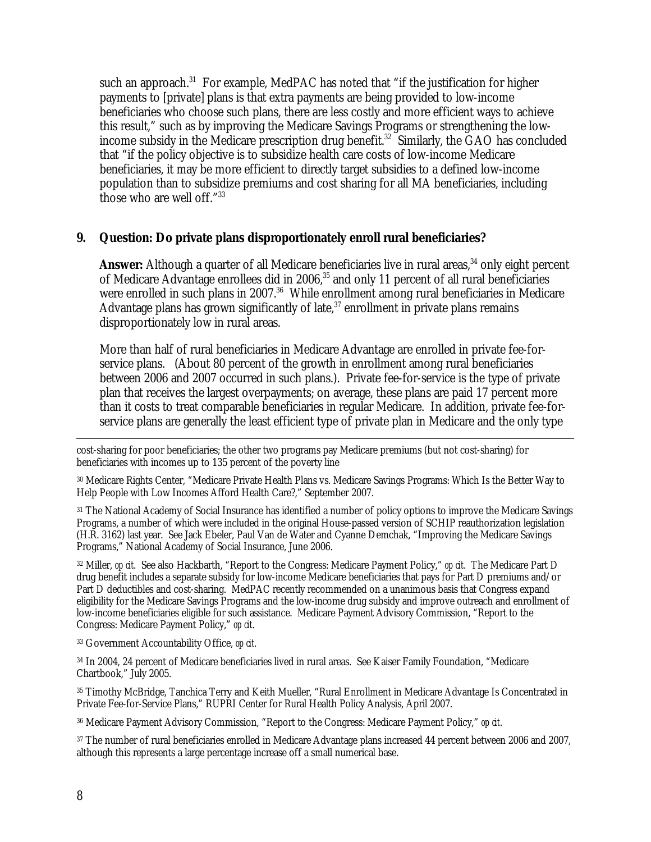such an approach.<sup>31</sup> For example, MedPAC has noted that "if the justification for higher payments to [private] plans is that extra payments are being provided to low-income beneficiaries who choose such plans, there are less costly and more efficient ways to achieve this result," such as by improving the Medicare Savings Programs or strengthening the lowincome subsidy in the Medicare prescription drug benefit.<sup>32</sup> Similarly, the  $GAO$  has concluded that "if the policy objective is to subsidize health care costs of low-income Medicare beneficiaries, it may be more efficient to directly target subsidies to a defined low-income population than to subsidize premiums and cost sharing for all MA beneficiaries, including those who are well off."33

#### **9. Question: Do private plans disproportionately enroll rural beneficiaries?**

**Answer:** Although a quarter of all Medicare beneficiaries live in rural areas,<sup>34</sup> only eight percent of Medicare Advantage enrollees did in 2006,<sup>35</sup> and only 11 percent of all rural beneficiaries were enrolled in such plans in 2007.<sup>36</sup> While enrollment among rural beneficiaries in Medicare Advantage plans has grown significantly of late,  $37$  enrollment in private plans remains disproportionately low in rural areas.

More than half of rural beneficiaries in Medicare Advantage are enrolled in private fee-forservice plans. (About 80 percent of the growth in enrollment among rural beneficiaries between 2006 and 2007 occurred in such plans.). Private fee-for-service is the type of private plan that receives the largest overpayments; on average, these plans are paid 17 percent more than it costs to treat comparable beneficiaries in regular Medicare. In addition, private fee-forservice plans are generally the least efficient type of private plan in Medicare and the only type

 cost-sharing for poor beneficiaries; the other two programs pay Medicare premiums (but not cost-sharing) for beneficiaries with incomes up to 135 percent of the poverty line

30 Medicare Rights Center, "Medicare Private Health Plans vs. Medicare Savings Programs: Which Is the Better Way to Help People with Low Incomes Afford Health Care?," September 2007.

31 The National Academy of Social Insurance has identified a number of policy options to improve the Medicare Savings Programs, a number of which were included in the original House-passed version of SCHIP reauthorization legislation (H.R. 3162) last year. See Jack Ebeler, Paul Van de Water and Cyanne Demchak, "Improving the Medicare Savings Programs," National Academy of Social Insurance, June 2006.

32 Miller, *op cit*. See also Hackbarth, "Report to the Congress: Medicare Payment Policy," *op cit*. The Medicare Part D drug benefit includes a separate subsidy for low-income Medicare beneficiaries that pays for Part D premiums and/or Part D deductibles and cost-sharing. MedPAC recently recommended on a unanimous basis that Congress expand eligibility for the Medicare Savings Programs and the low-income drug subsidy and improve outreach and enrollment of low-income beneficiaries eligible for such assistance. Medicare Payment Advisory Commission, "Report to the Congress: Medicare Payment Policy," *op cit*.

33 Government Accountability Office, *op cit*.

34 In 2004, 24 percent of Medicare beneficiaries lived in rural areas. See Kaiser Family Foundation, "Medicare Chartbook," July 2005.

35 Timothy McBridge, Tanchica Terry and Keith Mueller, "Rural Enrollment in Medicare Advantage Is Concentrated in Private Fee-for-Service Plans," RUPRI Center for Rural Health Policy Analysis, April 2007.

36 Medicare Payment Advisory Commission, "Report to the Congress: Medicare Payment Policy," *op cit*.

37 The number of rural beneficiaries enrolled in Medicare Advantage plans increased 44 percent between 2006 and 2007, although this represents a large percentage increase off a small numerical base.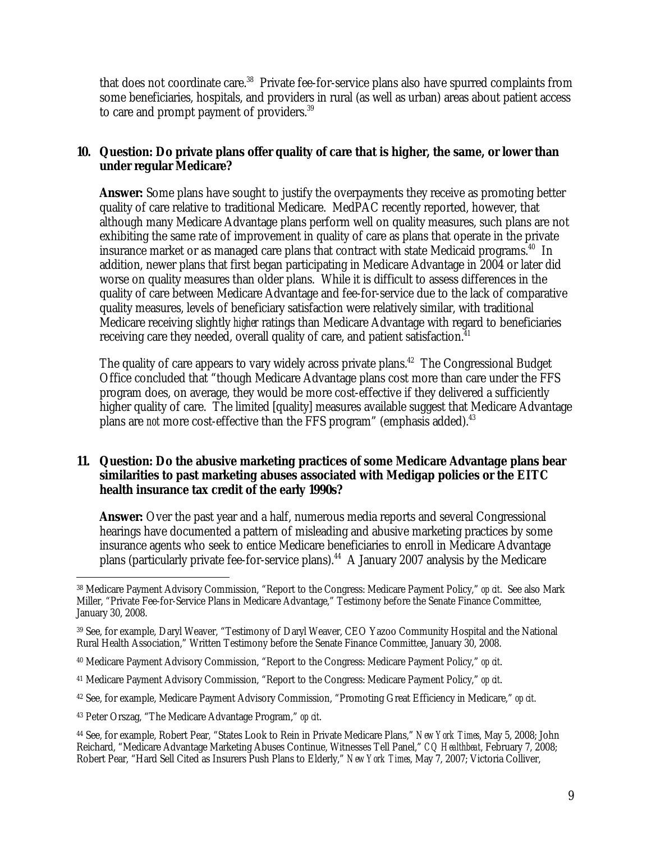that does not coordinate care.<sup>38</sup> Private fee-for-service plans also have spurred complaints from some beneficiaries, hospitals, and providers in rural (as well as urban) areas about patient access to care and prompt payment of providers.<sup>39</sup>

## **10. Question: Do private plans offer quality of care that is higher, the same, or lower than under regular Medicare?**

**Answer:** Some plans have sought to justify the overpayments they receive as promoting better quality of care relative to traditional Medicare. MedPAC recently reported, however, that although many Medicare Advantage plans perform well on quality measures, such plans are not exhibiting the same rate of improvement in quality of care as plans that operate in the private insurance market or as managed care plans that contract with state Medicaid programs.<sup>40</sup> In addition, newer plans that first began participating in Medicare Advantage in 2004 or later did worse on quality measures than older plans. While it is difficult to assess differences in the quality of care between Medicare Advantage and fee-for-service due to the lack of comparative quality measures, levels of beneficiary satisfaction were relatively similar, with traditional Medicare receiving slightly *higher* ratings than Medicare Advantage with regard to beneficiaries receiving care they needed, overall quality of care, and patient satisfaction.<sup>41</sup>

The quality of care appears to vary widely across private plans.<sup>42</sup> The Congressional Budget Office concluded that "though Medicare Advantage plans cost more than care under the FFS program does, on average, they would be more cost-effective if they delivered a sufficiently higher quality of care. The limited [quality] measures available suggest that Medicare Advantage plans are *not* more cost-effective than the FFS program" (emphasis added).<sup>43</sup>

#### **11. Question: Do the abusive marketing practices of some Medicare Advantage plans bear similarities to past marketing abuses associated with Medigap policies or the EITC health insurance tax credit of the early 1990s?**

**Answer:** Over the past year and a half, numerous media reports and several Congressional hearings have documented a pattern of misleading and abusive marketing practices by some insurance agents who seek to entice Medicare beneficiaries to enroll in Medicare Advantage plans (particularly private fee-for-service plans).<sup>44</sup> A January 2007 analysis by the Medicare

43 Peter Orszag, "The Medicare Advantage Program," *op cit*.

<sup>-</sup>38 Medicare Payment Advisory Commission, "Report to the Congress: Medicare Payment Policy," *op cit*. See also Mark Miller, "Private Fee-for-Service Plans in Medicare Advantage," Testimony before the Senate Finance Committee, January 30, 2008.

<sup>39</sup> See, for example, Daryl Weaver, "Testimony of Daryl Weaver, CEO Yazoo Community Hospital and the National Rural Health Association," Written Testimony before the Senate Finance Committee, January 30, 2008.

<sup>40</sup> Medicare Payment Advisory Commission, "Report to the Congress: Medicare Payment Policy," *op cit*.

<sup>41</sup> Medicare Payment Advisory Commission, "Report to the Congress: Medicare Payment Policy," *op cit*.

<sup>42</sup> See, for example, Medicare Payment Advisory Commission, "Promoting Great Efficiency in Medicare," *op cit*.

<sup>44</sup> See, for example, Robert Pear, "States Look to Rein in Private Medicare Plans," *New York Times*, May 5, 2008; John Reichard, "Medicare Advantage Marketing Abuses Continue, Witnesses Tell Panel," *CQ Healthbeat*, February 7, 2008; Robert Pear, "Hard Sell Cited as Insurers Push Plans to Elderly," *New York Times*, May 7, 2007; Victoria Colliver,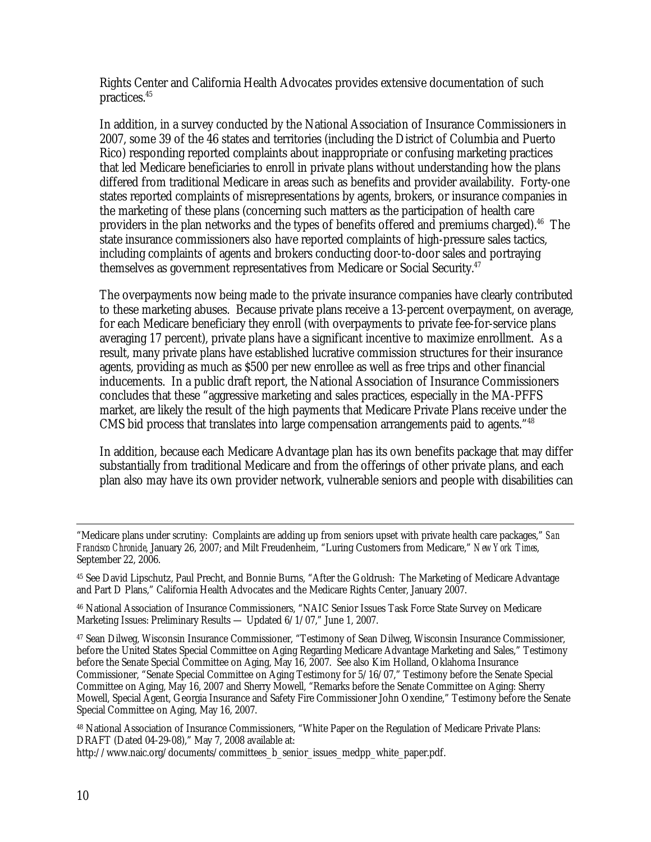Rights Center and California Health Advocates provides extensive documentation of such practices.45

In addition, in a survey conducted by the National Association of Insurance Commissioners in 2007, some 39 of the 46 states and territories (including the District of Columbia and Puerto Rico) responding reported complaints about inappropriate or confusing marketing practices that led Medicare beneficiaries to enroll in private plans without understanding how the plans differed from traditional Medicare in areas such as benefits and provider availability. Forty-one states reported complaints of misrepresentations by agents, brokers, or insurance companies in the marketing of these plans (concerning such matters as the participation of health care providers in the plan networks and the types of benefits offered and premiums charged).<sup>46</sup> The state insurance commissioners also have reported complaints of high-pressure sales tactics, including complaints of agents and brokers conducting door-to-door sales and portraying themselves as government representatives from Medicare or Social Security.<sup>47</sup>

The overpayments now being made to the private insurance companies have clearly contributed to these marketing abuses. Because private plans receive a 13-percent overpayment, on average, for each Medicare beneficiary they enroll (with overpayments to private fee-for-service plans averaging 17 percent), private plans have a significant incentive to maximize enrollment. As a result, many private plans have established lucrative commission structures for their insurance agents, providing as much as \$500 per new enrollee as well as free trips and other financial inducements. In a public draft report, the National Association of Insurance Commissioners concludes that these "aggressive marketing and sales practices, especially in the MA-PFFS market, are likely the result of the high payments that Medicare Private Plans receive under the CMS bid process that translates into large compensation arrangements paid to agents."<sup>48</sup>

In addition, because each Medicare Advantage plan has its own benefits package that may differ substantially from traditional Medicare and from the offerings of other private plans, and each plan also may have its own provider network, vulnerable seniors and people with disabilities can

46 National Association of Insurance Commissioners, "NAIC Senior Issues Task Force State Survey on Medicare Marketing Issues: Preliminary Results — Updated 6/1/07," June 1, 2007.

47 Sean Dilweg, Wisconsin Insurance Commissioner, "Testimony of Sean Dilweg, Wisconsin Insurance Commissioner, before the United States Special Committee on Aging Regarding Medicare Advantage Marketing and Sales," Testimony before the Senate Special Committee on Aging, May 16, 2007. See also Kim Holland, Oklahoma Insurance Commissioner, "Senate Special Committee on Aging Testimony for 5/16/07," Testimony before the Senate Special Committee on Aging, May 16, 2007 and Sherry Mowell, "Remarks before the Senate Committee on Aging: Sherry Mowell, Special Agent, Georgia Insurance and Safety Fire Commissioner John Oxendine," Testimony before the Senate Special Committee on Aging, May 16, 2007.

48 National Association of Insurance Commissioners, "White Paper on the Regulation of Medicare Private Plans: DRAFT (Dated 04-29-08)," May 7, 2008 available at:

http://www.naic.org/documents/committees\_b\_senior\_issues\_medpp\_white\_paper.pdf.

 <sup>&</sup>quot;Medicare plans under scrutiny: Complaints are adding up from seniors upset with private health care packages," *San Francisco Chronicle*, January 26, 2007; and Milt Freudenheim, "Luring Customers from Medicare," *New York Times*, September 22, 2006.

<sup>45</sup> See David Lipschutz, Paul Precht, and Bonnie Burns, "After the Goldrush: The Marketing of Medicare Advantage and Part D Plans," California Health Advocates and the Medicare Rights Center, January 2007.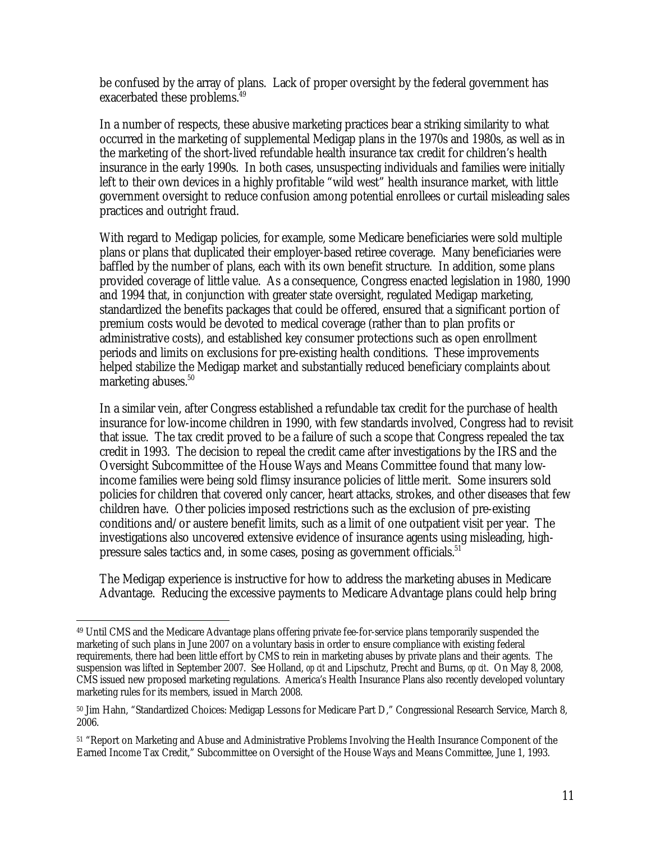be confused by the array of plans. Lack of proper oversight by the federal government has exacerbated these problems.<sup>49</sup>

In a number of respects, these abusive marketing practices bear a striking similarity to what occurred in the marketing of supplemental Medigap plans in the 1970s and 1980s, as well as in the marketing of the short-lived refundable health insurance tax credit for children's health insurance in the early 1990s. In both cases, unsuspecting individuals and families were initially left to their own devices in a highly profitable "wild west" health insurance market, with little government oversight to reduce confusion among potential enrollees or curtail misleading sales practices and outright fraud.

With regard to Medigap policies, for example, some Medicare beneficiaries were sold multiple plans or plans that duplicated their employer-based retiree coverage. Many beneficiaries were baffled by the number of plans, each with its own benefit structure. In addition, some plans provided coverage of little value. As a consequence, Congress enacted legislation in 1980, 1990 and 1994 that, in conjunction with greater state oversight, regulated Medigap marketing, standardized the benefits packages that could be offered, ensured that a significant portion of premium costs would be devoted to medical coverage (rather than to plan profits or administrative costs), and established key consumer protections such as open enrollment periods and limits on exclusions for pre-existing health conditions. These improvements helped stabilize the Medigap market and substantially reduced beneficiary complaints about marketing abuses.<sup>50</sup>

In a similar vein, after Congress established a refundable tax credit for the purchase of health insurance for low-income children in 1990, with few standards involved, Congress had to revisit that issue. The tax credit proved to be a failure of such a scope that Congress repealed the tax credit in 1993. The decision to repeal the credit came after investigations by the IRS and the Oversight Subcommittee of the House Ways and Means Committee found that many lowincome families were being sold flimsy insurance policies of little merit. Some insurers sold policies for children that covered only cancer, heart attacks, strokes, and other diseases that few children have. Other policies imposed restrictions such as the exclusion of pre-existing conditions and/or austere benefit limits, such as a limit of one outpatient visit per year. The investigations also uncovered extensive evidence of insurance agents using misleading, highpressure sales tactics and, in some cases, posing as government officials.<sup>51</sup>

The Medigap experience is instructive for how to address the marketing abuses in Medicare Advantage. Reducing the excessive payments to Medicare Advantage plans could help bring

 $\overline{a}$ 49 Until CMS and the Medicare Advantage plans offering private fee-for-service plans temporarily suspended the marketing of such plans in June 2007 on a voluntary basis in order to ensure compliance with existing federal requirements, there had been little effort by CMS to rein in marketing abuses by private plans and their agents. The suspension was lifted in September 2007. See Holland, *op cit* and Lipschutz, Precht and Burns, *op cit*. On May 8, 2008, CMS issued new proposed marketing regulations. America's Health Insurance Plans also recently developed voluntary marketing rules for its members, issued in March 2008.

<sup>50</sup> Jim Hahn, "Standardized Choices: Medigap Lessons for Medicare Part D," Congressional Research Service, March 8, 2006.

<sup>51 &</sup>quot;Report on Marketing and Abuse and Administrative Problems Involving the Health Insurance Component of the Earned Income Tax Credit," Subcommittee on Oversight of the House Ways and Means Committee, June 1, 1993.